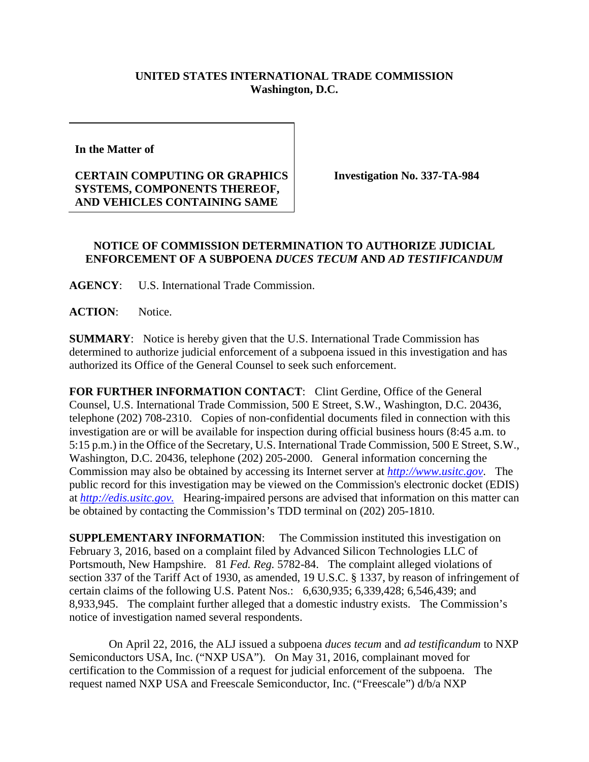## **UNITED STATES INTERNATIONAL TRADE COMMISSION Washington, D.C.**

**In the Matter of** 

## **CERTAIN COMPUTING OR GRAPHICS SYSTEMS, COMPONENTS THEREOF, AND VEHICLES CONTAINING SAME**

**Investigation No. 337-TA-984**

## **NOTICE OF COMMISSION DETERMINATION TO AUTHORIZE JUDICIAL ENFORCEMENT OF A SUBPOENA** *DUCES TECUM* **AND** *AD TESTIFICANDUM*

**AGENCY**: U.S. International Trade Commission.

**ACTION**: Notice.

**SUMMARY**: Notice is hereby given that the U.S. International Trade Commission has determined to authorize judicial enforcement of a subpoena issued in this investigation and has authorized its Office of the General Counsel to seek such enforcement.

**FOR FURTHER INFORMATION CONTACT**: Clint Gerdine, Office of the General Counsel, U.S. International Trade Commission, 500 E Street, S.W., Washington, D.C. 20436, telephone (202) 708-2310. Copies of non-confidential documents filed in connection with this investigation are or will be available for inspection during official business hours (8:45 a.m. to 5:15 p.m.) in the Office of the Secretary, U.S. International Trade Commission, 500 E Street, S.W., Washington, D.C. 20436, telephone (202) 205-2000. General information concerning the Commission may also be obtained by accessing its Internet server at *[http://www.usitc.gov](http://www.usitc.gov/)*. The public record for this investigation may be viewed on the Commission's electronic docket (EDIS) at *[http://edis.usitc.gov.](http://edis.usitc.gov/)* Hearing-impaired persons are advised that information on this matter can be obtained by contacting the Commission's TDD terminal on (202) 205-1810.

**SUPPLEMENTARY INFORMATION:** The Commission instituted this investigation on February 3, 2016, based on a complaint filed by Advanced Silicon Technologies LLC of Portsmouth, New Hampshire. 81 *Fed. Reg.* 5782-84. The complaint alleged violations of section 337 of the Tariff Act of 1930, as amended, 19 U.S.C. § 1337, by reason of infringement of certain claims of the following U.S. Patent Nos.: 6,630,935; 6,339,428; 6,546,439; and 8,933,945. The complaint further alleged that a domestic industry exists. The Commission's notice of investigation named several respondents.

On April 22, 2016, the ALJ issued a subpoena *duces tecum* and *ad testificandum* to NXP Semiconductors USA, Inc. ("NXP USA"). On May 31, 2016, complainant moved for certification to the Commission of a request for judicial enforcement of the subpoena. The request named NXP USA and Freescale Semiconductor, Inc. ("Freescale") d/b/a NXP